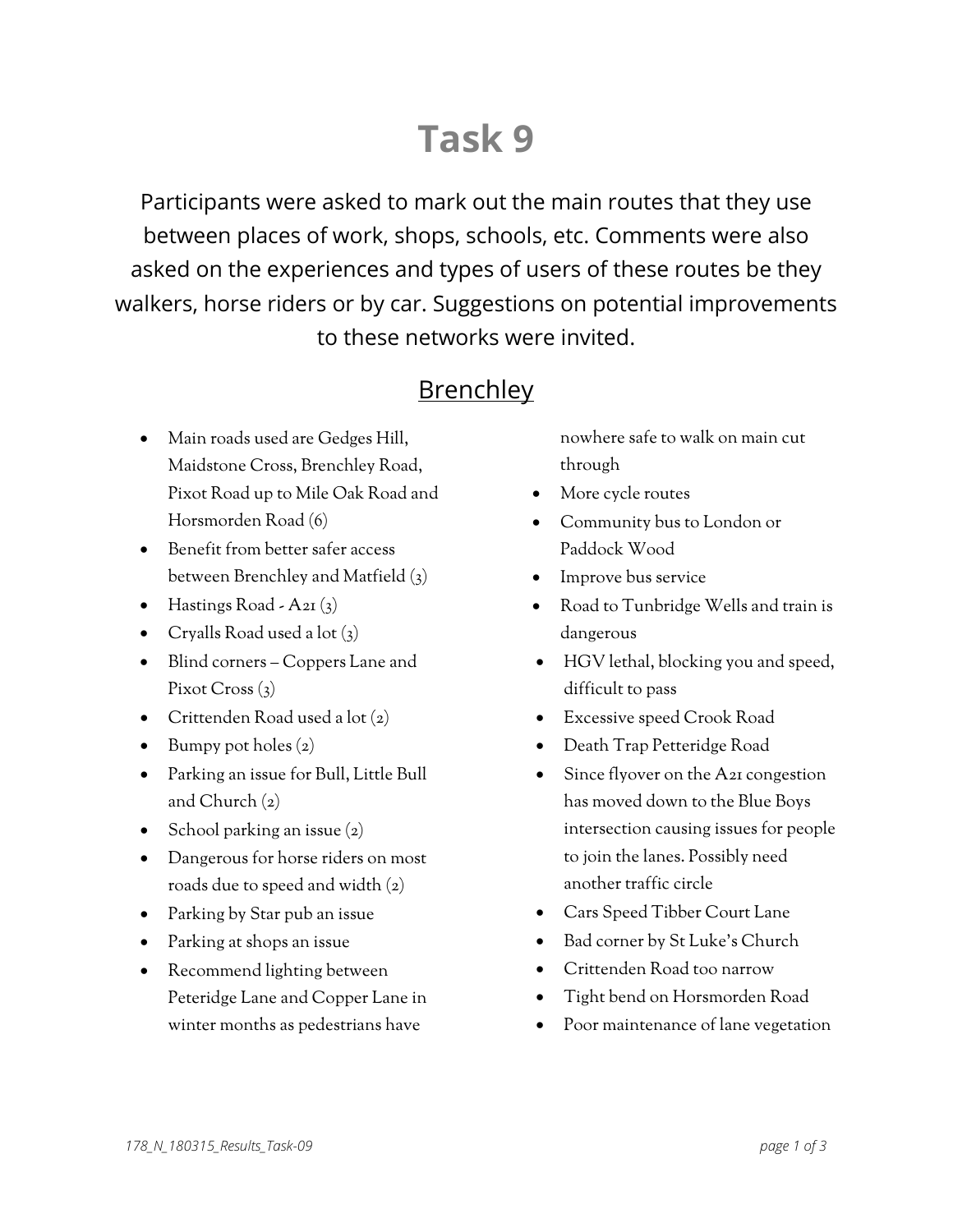## **Task 9**

Participants were asked to mark out the main routes that they use between places of work, shops, schools, etc. Comments were also asked on the experiences and types of users of these routes be they walkers, horse riders or by car. Suggestions on potential improvements to these networks were invited.

## **Brenchley**

- Main roads used are Gedges Hill, Maidstone Cross, Brenchley Road, Pixot Road up to Mile Oak Road and Horsmorden Road (6)
- Benefit from better safer access between Brenchley and Matfield (3)
- Hastings Road  $A_{2I}(3)$
- Cryalls Road used a lot  $(3)$
- Blind corners Coppers Lane and Pixot Cross $(3)$
- Crittenden Road used a lot (2)
- Bumpy pot holes  $(z)$
- Parking an issue for Bull, Little Bull and Church  $(z)$
- School parking an issue  $(2)$
- Dangerous for horse riders on most roads due to speed and width (2)
- Parking by Star pub an issue
- Parking at shops an issue
- Recommend lighting between Peteridge Lane and Copper Lane in winter months as pedestrians have

nowhere safe to walk on main cut through

- More cycle routes
- Community bus to London or Paddock Wood
- Improve bus service
- Road to Tunbridge Wells and train is dangerous
- HGV lethal, blocking you and speed, difficult to pass
- Excessive speed Crook Road
- Death Trap Petteridge Road
- Since flyover on the A21 congestion has moved down to the Blue Boys intersection causing issues for people to join the lanes. Possibly need another traffic circle
- Cars Speed Tibber Court Lane
- Bad corner by St Luke's Church
- Crittenden Road too narrow
- Tight bend on Horsmorden Road
- Poor maintenance of lane vegetation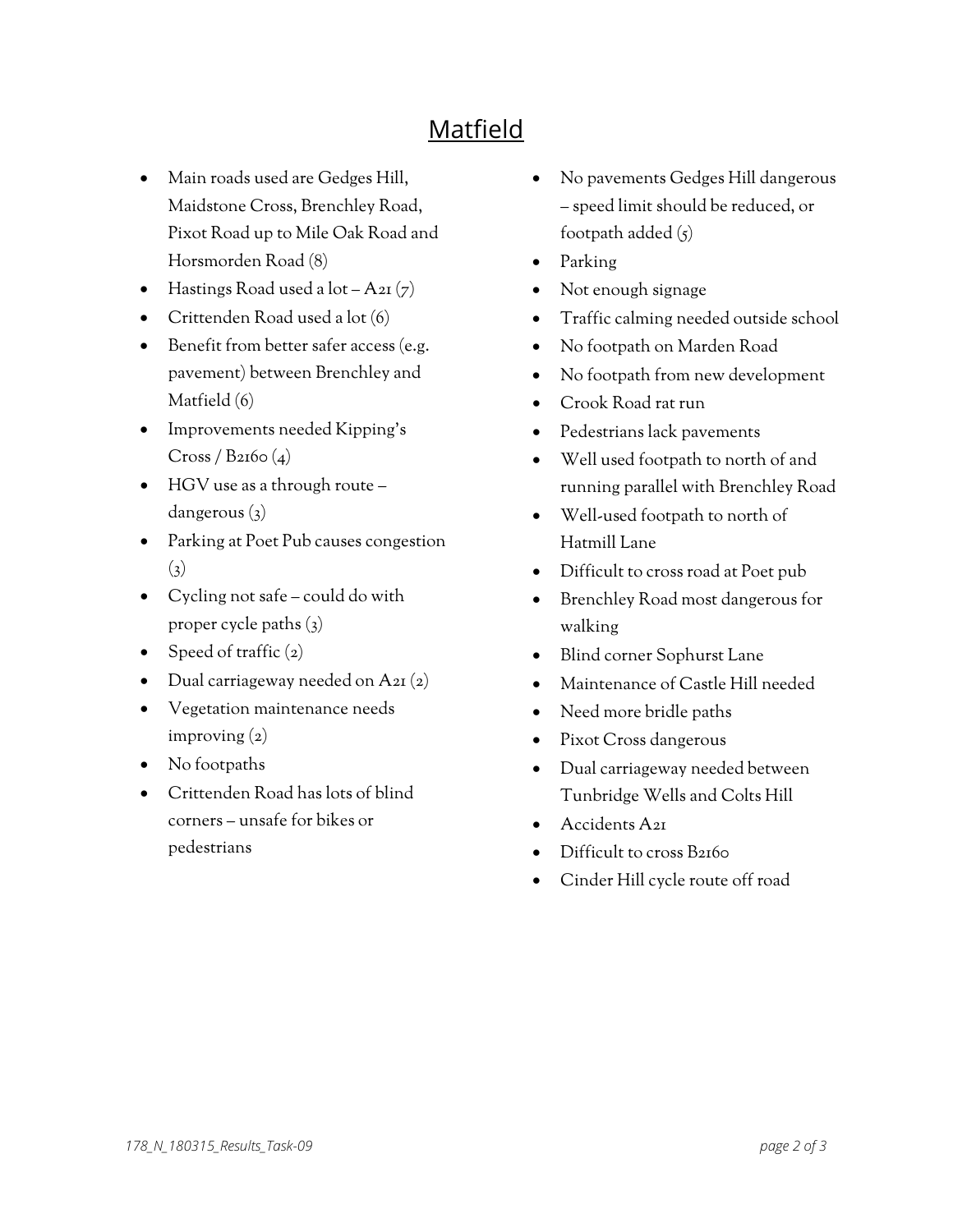## Matfield

- Main roads used are Gedges Hill, Maidstone Cross, Brenchley Road, Pixot Road up to Mile Oak Road and Horsmorden Road (8)
- Hastings Road used a lot A21  $(7)$
- Crittenden Road used a lot (6)
- Benefit from better safer access (e.g. pavement) between Brenchley and Matfield (6)
- Improvements needed Kipping's  $Cross / B2160 (4)$
- HGV use as a through route dangerous (3)
- Parking at Poet Pub causes congestion  $\left( 3\right)$
- Cycling not safe could do with proper cycle paths  $(3)$
- Speed of traffic  $(2)$
- Dual carriageway needed on  $A_{2I}(2)$
- Vegetation maintenance needs improving  $(2)$
- No footpaths
- Crittenden Road has lots of blind corners – unsafe for bikes or pedestrians
- No pavements Gedges Hill dangerous – speed limit should be reduced, or footpath added  $(5)$
- Parking
- Not enough signage
- Traffic calming needed outside school
- No footpath on Marden Road
- No footpath from new development
- Crook Road rat run
- Pedestrians lack pavements
- Well used footpath to north of and running parallel with Brenchley Road
- Well-used footpath to north of Hatmill Lane
- Difficult to cross road at Poet pub
- Brenchley Road most dangerous for walking
- Blind corner Sophurst Lane
- Maintenance of Castle Hill needed
- Need more bridle paths
- Pixot Cross dangerous
- Dual carriageway needed between Tunbridge Wells and Colts Hill
- Accidents A21
- Difficult to cross B2160
- Cinder Hill cycle route off road